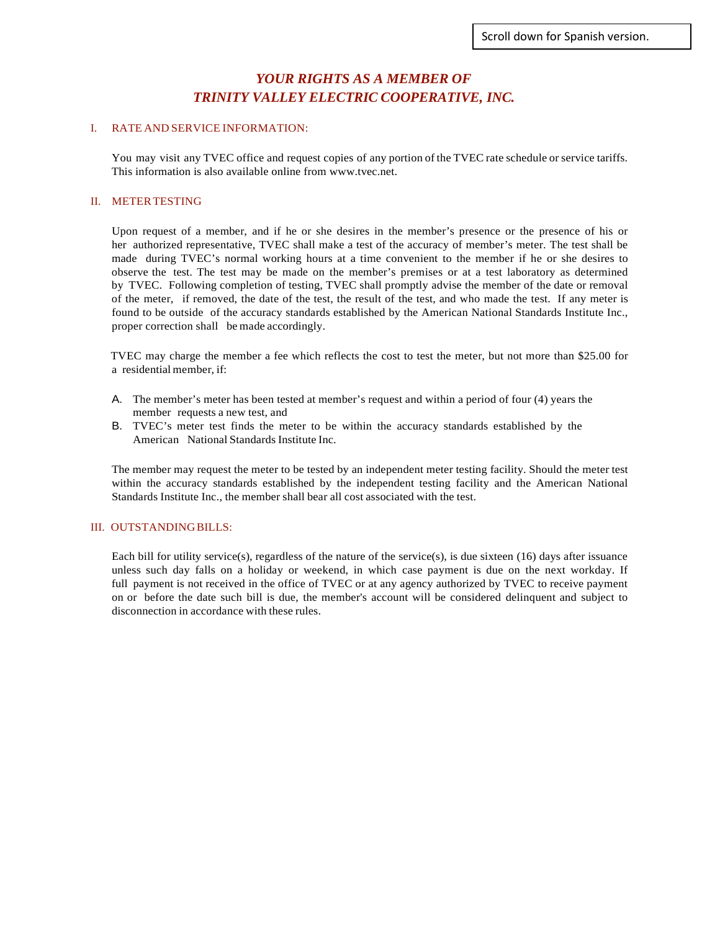# *YOUR RIGHTS AS A MEMBER OF TRINITY VALLEY ELECTRIC COOPERATIVE, INC.*

#### I. RATE AND SERVICE INFORMATION:

You may visit any TVEC office and request copies of any portion of the TVEC rate schedule or service tariffs. This information is also available online from www.tvec.net.

#### II. METERTESTING

Upon request of a member, and if he or she desires in the member's presence or the presence of his or her authorized representative, TVEC shall make a test of the accuracy of member's meter. The test shall be made during TVEC's normal working hours at a time convenient to the member if he or she desires to observe the test. The test may be made on the member's premises or at a test laboratory as determined by TVEC. Following completion of testing, TVEC shall promptly advise the member of the date or removal of the meter, if removed, the date of the test, the result of the test, and who made the test. If any meter is found to be outside of the accuracy standards established by the American National Standards Institute Inc., proper correction shall be made accordingly.

TVEC may charge the member a fee which reflects the cost to test the meter, but not more than \$25.00 for a residential member, if:

- A. The member's meter has been tested at member's request and within a period of four (4) years the member requests a new test, and
- B. TVEC's meter test finds the meter to be within the accuracy standards established by the American National Standards Institute Inc.

The member may request the meter to be tested by an independent meter testing facility. Should the meter test within the accuracy standards established by the independent testing facility and the American National Standards Institute Inc., the member shall bear all cost associated with the test.

#### III. OUTSTANDINGBILLS:

Each bill for utility service(s), regardless of the nature of the service(s), is due sixteen (16) days after issuance unless such day falls on a holiday or weekend, in which case payment is due on the next workday. If full payment is not received in the office of TVEC or at any agency authorized by TVEC to receive payment on or before the date such bill is due, the member's account will be considered delinquent and subject to disconnection in accordance with these rules.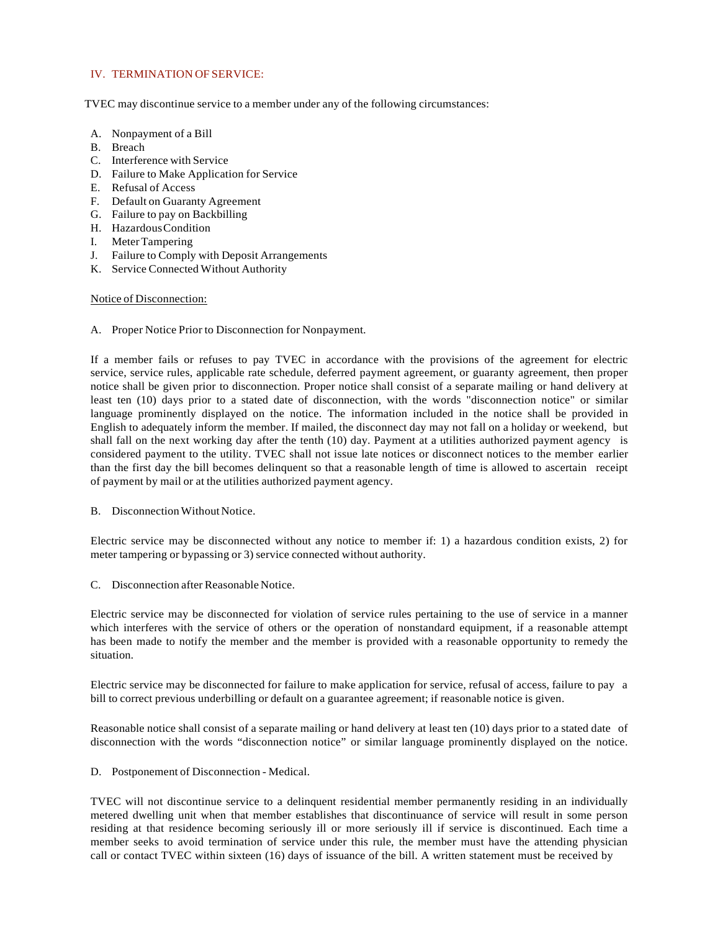### IV. TERMINATION OF SERVICE:

TVEC may discontinue service to a member under any of the following circumstances:

- A. Nonpayment of a Bill
- B. Breach
- C. Interference with Service
- D. Failure to Make Application for Service
- E. Refusal of Access
- F. Default on Guaranty Agreement
- G. Failure to pay on Backbilling
- H. HazardousCondition
- I. MeterTampering
- J. Failure to Comply with Deposit Arrangements
- K. Service Connected Without Authority

### Notice of Disconnection:

A. Proper Notice Prior to Disconnection for Nonpayment.

If a member fails or refuses to pay TVEC in accordance with the provisions of the agreement for electric service, service rules, applicable rate schedule, deferred payment agreement, or guaranty agreement, then proper notice shall be given prior to disconnection. Proper notice shall consist of a separate mailing or hand delivery at least ten (10) days prior to a stated date of disconnection, with the words "disconnection notice" or similar language prominently displayed on the notice. The information included in the notice shall be provided in English to adequately inform the member. If mailed, the disconnect day may not fall on a holiday or weekend, but shall fall on the next working day after the tenth (10) day. Payment at a utilities authorized payment agency is considered payment to the utility. TVEC shall not issue late notices or disconnect notices to the member earlier than the first day the bill becomes delinquent so that a reasonable length of time is allowed to ascertain receipt of payment by mail or at the utilities authorized payment agency.

B. Disconnection Without Notice.

Electric service may be disconnected without any notice to member if: 1) a hazardous condition exists, 2) for meter tampering or bypassing or 3) service connected without authority.

C. Disconnection after Reasonable Notice.

Electric service may be disconnected for violation of service rules pertaining to the use of service in a manner which interferes with the service of others or the operation of nonstandard equipment, if a reasonable attempt has been made to notify the member and the member is provided with a reasonable opportunity to remedy the situation.

Electric service may be disconnected for failure to make application for service, refusal of access, failure to pay a bill to correct previous underbilling or default on a guarantee agreement; if reasonable notice is given.

Reasonable notice shall consist of a separate mailing or hand delivery at least ten (10) days prior to a stated date of disconnection with the words "disconnection notice" or similar language prominently displayed on the notice.

D. Postponement of Disconnection - Medical.

TVEC will not discontinue service to a delinquent residential member permanently residing in an individually metered dwelling unit when that member establishes that discontinuance of service will result in some person residing at that residence becoming seriously ill or more seriously ill if service is discontinued. Each time a member seeks to avoid termination of service under this rule, the member must have the attending physician call or contact TVEC within sixteen (16) days of issuance of the bill. A written statement must be received by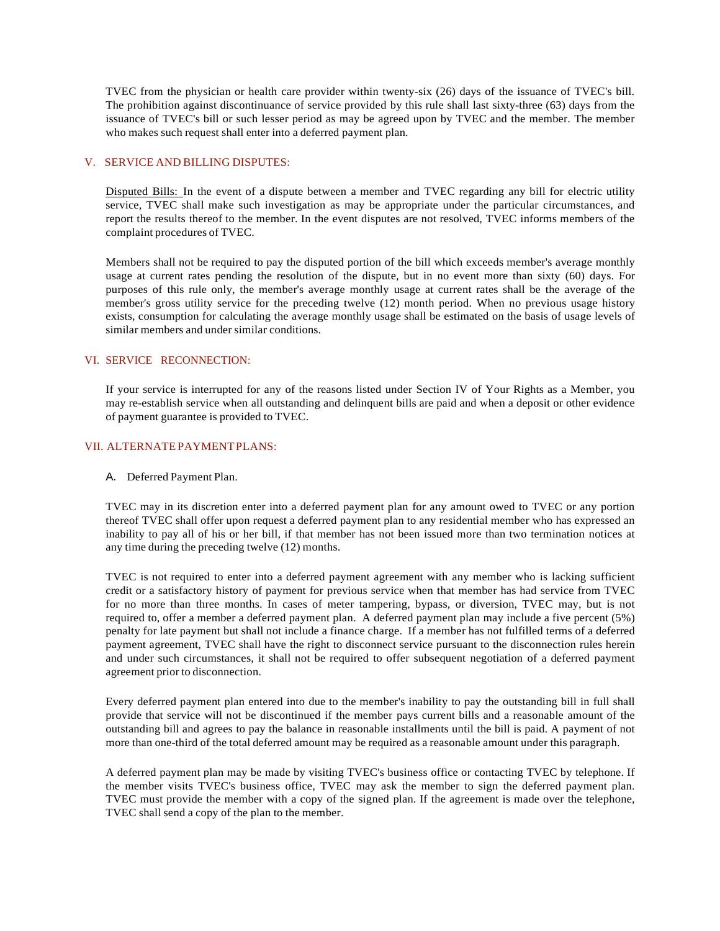TVEC from the physician or health care provider within twenty-six (26) days of the issuance of TVEC's bill. The prohibition against discontinuance of service provided by this rule shall last sixty-three (63) days from the issuance of TVEC's bill or such lesser period as may be agreed upon by TVEC and the member. The member who makes such request shall enter into a deferred payment plan.

### V. SERVICE AND BILLING DISPUTES:

Disputed Bills: In the event of a dispute between a member and TVEC regarding any bill for electric utility service, TVEC shall make such investigation as may be appropriate under the particular circumstances, and report the results thereof to the member. In the event disputes are not resolved, TVEC informs members of the complaint procedures of TVEC.

Members shall not be required to pay the disputed portion of the bill which exceeds member's average monthly usage at current rates pending the resolution of the dispute, but in no event more than sixty (60) days. For purposes of this rule only, the member's average monthly usage at current rates shall be the average of the member's gross utility service for the preceding twelve (12) month period. When no previous usage history exists, consumption for calculating the average monthly usage shall be estimated on the basis of usage levels of similar members and under similar conditions.

#### VI. SERVICE RECONNECTION:

If your service is interrupted for any of the reasons listed under Section IV of Your Rights as a Member, you may re-establish service when all outstanding and delinquent bills are paid and when a deposit or other evidence of payment guarantee is provided to TVEC.

### VII. ALTERNATEPAYMENTPLANS:

#### A. Deferred Payment Plan.

TVEC may in its discretion enter into a deferred payment plan for any amount owed to TVEC or any portion thereof TVEC shall offer upon request a deferred payment plan to any residential member who has expressed an inability to pay all of his or her bill, if that member has not been issued more than two termination notices at any time during the preceding twelve (12) months.

TVEC is not required to enter into a deferred payment agreement with any member who is lacking sufficient credit or a satisfactory history of payment for previous service when that member has had service from TVEC for no more than three months. In cases of meter tampering, bypass, or diversion, TVEC may, but is not required to, offer a member a deferred payment plan. A deferred payment plan may include a five percent (5%) penalty for late payment but shall not include a finance charge. If a member has not fulfilled terms of a deferred payment agreement, TVEC shall have the right to disconnect service pursuant to the disconnection rules herein and under such circumstances, it shall not be required to offer subsequent negotiation of a deferred payment agreement prior to disconnection.

Every deferred payment plan entered into due to the member's inability to pay the outstanding bill in full shall provide that service will not be discontinued if the member pays current bills and a reasonable amount of the outstanding bill and agrees to pay the balance in reasonable installments until the bill is paid. A payment of not more than one-third of the total deferred amount may be required as a reasonable amount under this paragraph.

A deferred payment plan may be made by visiting TVEC's business office or contacting TVEC by telephone. If the member visits TVEC's business office, TVEC may ask the member to sign the deferred payment plan. TVEC must provide the member with a copy of the signed plan. If the agreement is made over the telephone, TVEC shall send a copy of the plan to the member.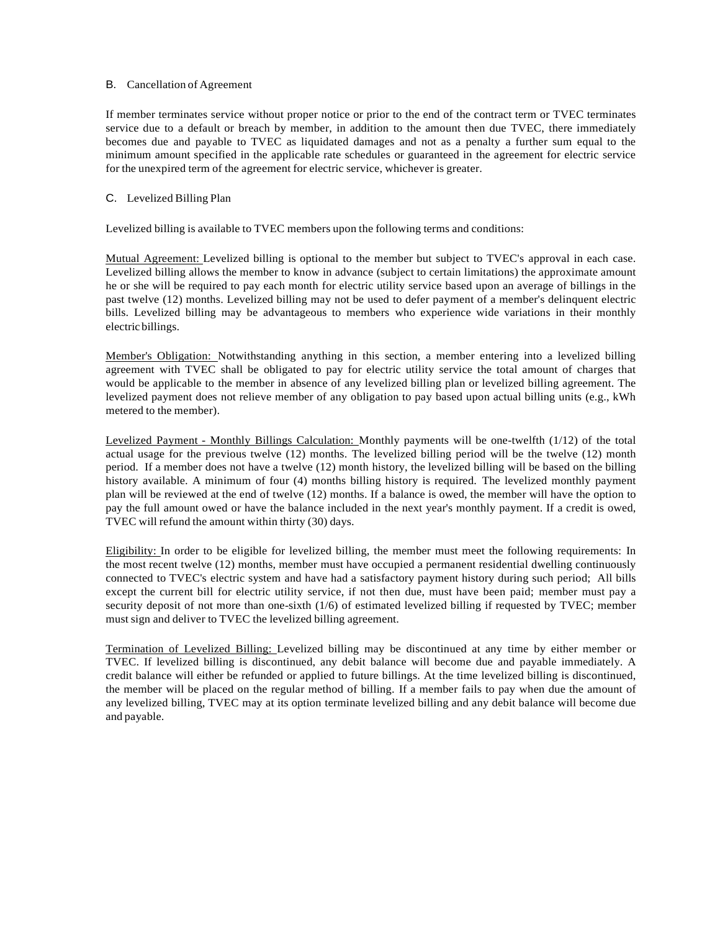### B. Cancellation of Agreement

If member terminates service without proper notice or prior to the end of the contract term or TVEC terminates service due to a default or breach by member, in addition to the amount then due TVEC, there immediately becomes due and payable to TVEC as liquidated damages and not as a penalty a further sum equal to the minimum amount specified in the applicable rate schedules or guaranteed in the agreement for electric service for the unexpired term of the agreement for electric service, whichever is greater.

### C. Levelized Billing Plan

Levelized billing is available to TVEC members upon the following terms and conditions:

Mutual Agreement: Levelized billing is optional to the member but subject to TVEC's approval in each case. Levelized billing allows the member to know in advance (subject to certain limitations) the approximate amount he or she will be required to pay each month for electric utility service based upon an average of billings in the past twelve (12) months. Levelized billing may not be used to defer payment of a member's delinquent electric bills. Levelized billing may be advantageous to members who experience wide variations in their monthly electric billings.

Member's Obligation: Notwithstanding anything in this section, a member entering into a levelized billing agreement with TVEC shall be obligated to pay for electric utility service the total amount of charges that would be applicable to the member in absence of any levelized billing plan or levelized billing agreement. The levelized payment does not relieve member of any obligation to pay based upon actual billing units (e.g., kWh metered to the member).

Levelized Payment - Monthly Billings Calculation: Monthly payments will be one-twelfth (1/12) of the total actual usage for the previous twelve (12) months. The levelized billing period will be the twelve (12) month period. If a member does not have a twelve (12) month history, the levelized billing will be based on the billing history available. A minimum of four (4) months billing history is required. The levelized monthly payment plan will be reviewed at the end of twelve (12) months. If a balance is owed, the member will have the option to pay the full amount owed or have the balance included in the next year's monthly payment. If a credit is owed, TVEC will refund the amount within thirty (30) days.

Eligibility: In order to be eligible for levelized billing, the member must meet the following requirements: In the most recent twelve (12) months, member must have occupied a permanent residential dwelling continuously connected to TVEC's electric system and have had a satisfactory payment history during such period; All bills except the current bill for electric utility service, if not then due, must have been paid; member must pay a security deposit of not more than one-sixth (1/6) of estimated levelized billing if requested by TVEC; member must sign and deliver to TVEC the levelized billing agreement.

Termination of Levelized Billing: Levelized billing may be discontinued at any time by either member or TVEC. If levelized billing is discontinued, any debit balance will become due and payable immediately. A credit balance will either be refunded or applied to future billings. At the time levelized billing is discontinued, the member will be placed on the regular method of billing. If a member fails to pay when due the amount of any levelized billing, TVEC may at its option terminate levelized billing and any debit balance will become due and payable.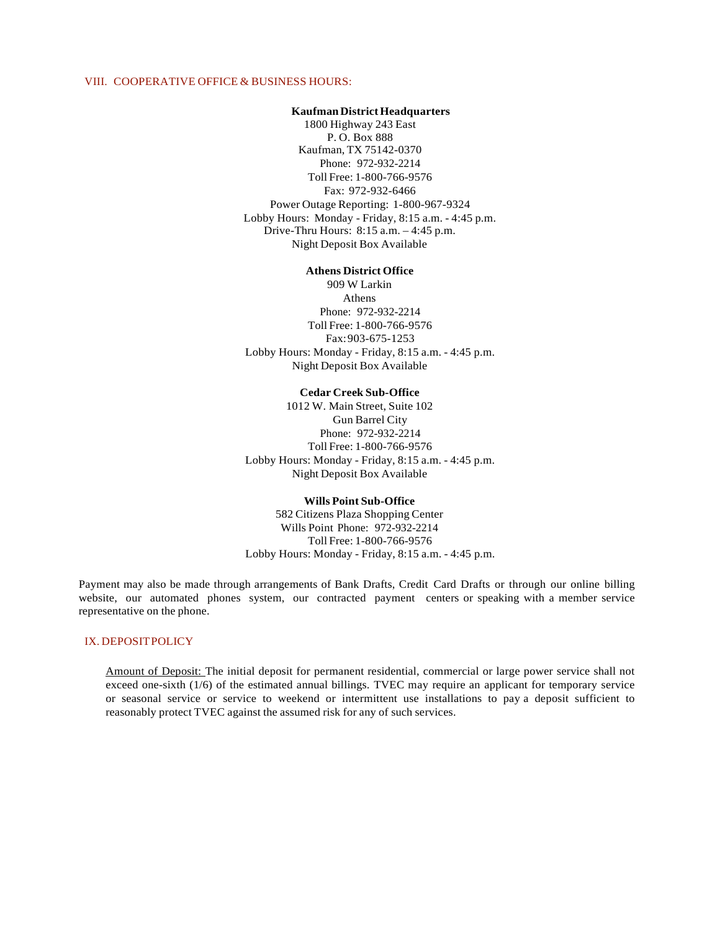#### VIII. COOPERATIVE OFFICE & BUSINESS HOURS:

#### **Kaufman DistrictHeadquarters**

1800 Highway 243 East P. O. Box 888 Kaufman, TX 75142-0370 Phone: 972-932-2214 Toll Free: 1-800-766-9576 Fax: 972-932-6466 Power Outage Reporting: 1-800-967-9324 Lobby Hours: Monday - Friday, 8:15 a.m. - 4:45 p.m. Drive-Thru Hours: 8:15 a.m. – 4:45 p.m. Night Deposit Box Available

### **Athens District Office**

909 W Larkin Athens Phone: 972-932-2214 Toll Free: 1-800-766-9576 Fax:903-675-1253 Lobby Hours: Monday - Friday, 8:15 a.m. - 4:45 p.m. Night Deposit Box Available

#### **Cedar Creek Sub-Office**

1012 W. Main Street, Suite 102 Gun Barrel City Phone: 972-932-2214 Toll Free: 1-800-766-9576 Lobby Hours: Monday - Friday, 8:15 a.m. - 4:45 p.m. Night Deposit Box Available

#### **Wills Point Sub-Office**

582 Citizens Plaza Shopping Center Wills Point Phone: 972-932-2214 Toll Free: 1-800-766-9576 Lobby Hours: Monday - Friday, 8:15 a.m. - 4:45 p.m.

Payment may also be made through arrangements of Bank Drafts, Credit Card Drafts or through our online billing website, our automated phones system, our contracted payment centers or speaking with a member service representative on the phone.

### IX. DEPOSITPOLICY

Amount of Deposit: The initial deposit for permanent residential, commercial or large power service shall not exceed one-sixth (1/6) of the estimated annual billings. TVEC may require an applicant for temporary service or seasonal service or service to weekend or intermittent use installations to pay a deposit sufficient to reasonably protect TVEC against the assumed risk for any of such services.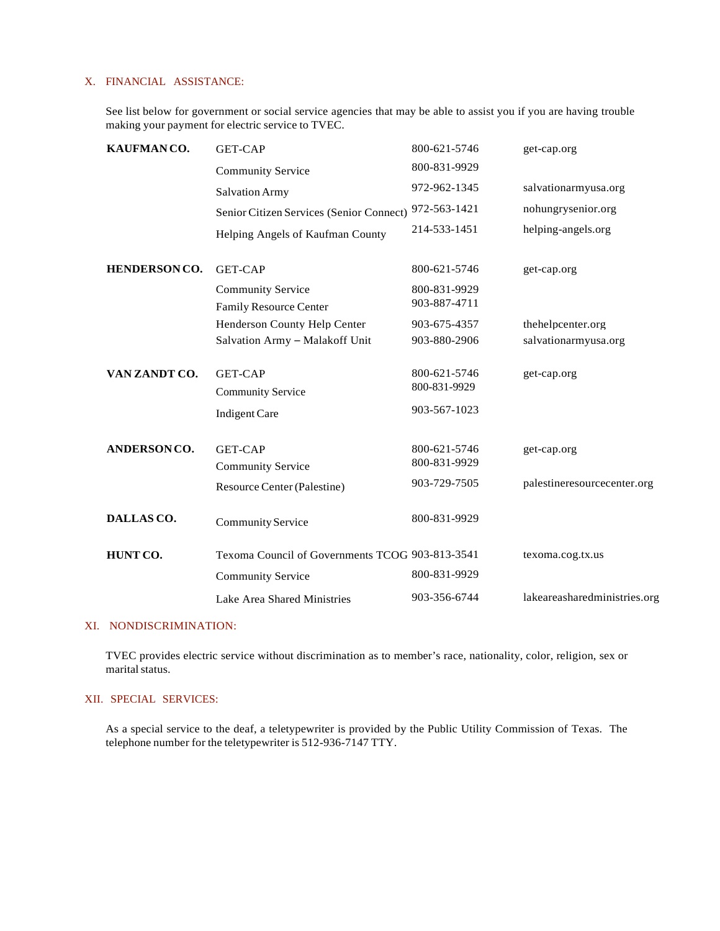### X. FINANCIAL ASSISTANCE:

See list below for government or social service agencies that may be able to assist you if you are having trouble making your payment for electric service to TVEC.

| KAUFMANCO.           | <b>GET-CAP</b>                                            | 800-621-5746                 | get-cap.org                  |
|----------------------|-----------------------------------------------------------|------------------------------|------------------------------|
|                      | <b>Community Service</b>                                  | 800-831-9929                 |                              |
|                      | <b>Salvation Army</b>                                     | 972-962-1345                 | salvationarmyusa.org         |
|                      | Senior Citizen Services (Senior Connect)                  | 972-563-1421                 | nohungrysenior.org           |
|                      | Helping Angels of Kaufman County                          | 214-533-1451                 | helping-angels.org           |
| <b>HENDERSON CO.</b> | <b>GET-CAP</b>                                            | 800-621-5746                 | get-cap.org                  |
|                      | <b>Community Service</b><br><b>Family Resource Center</b> | 800-831-9929<br>903-887-4711 |                              |
|                      | Henderson County Help Center                              | 903-675-4357                 | thehelpcenter.org            |
|                      | Salvation Army - Malakoff Unit                            | 903-880-2906                 | salvationarmyusa.org         |
| VAN ZANDT CO.        | <b>GET-CAP</b><br><b>Community Service</b>                | 800-621-5746<br>800-831-9929 | get-cap.org                  |
|                      | <b>Indigent Care</b>                                      | 903-567-1023                 |                              |
| <b>ANDERSON CO.</b>  | <b>GET-CAP</b><br><b>Community Service</b>                | 800-621-5746<br>800-831-9929 | get-cap.org                  |
|                      | Resource Center (Palestine)                               | 903-729-7505                 | palestineresourcecenter.org  |
| DALLASCO.            | <b>Community Service</b>                                  | 800-831-9929                 |                              |
| HUNT CO.             | Texoma Council of Governments TCOG 903-813-3541           |                              | texoma.cog.tx.us             |
|                      | <b>Community Service</b>                                  | 800-831-9929                 |                              |
|                      | Lake Area Shared Ministries                               | 903-356-6744                 | lakeareasharedministries.org |

### XI. NONDISCRIMINATION:

TVEC provides electric service without discrimination as to member's race, nationality, color, religion, sex or marital status.

### XII. SPECIAL SERVICES:

As a special service to the deaf, a teletypewriter is provided by the Public Utility Commission of Texas. The telephone number for the teletypewriter is 512-936-7147 TTY.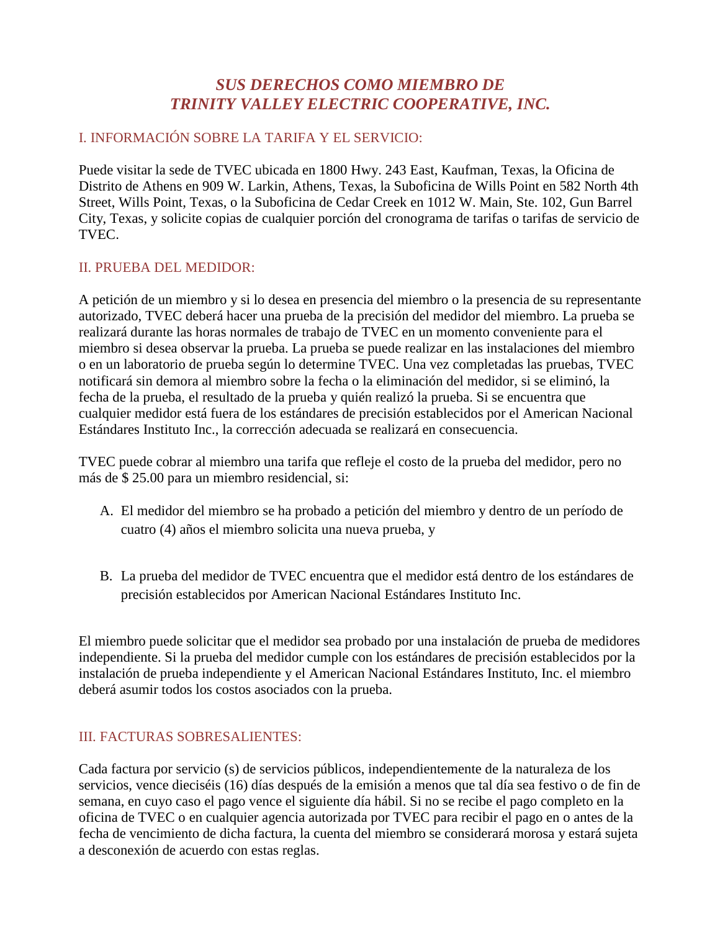# *SUS DERECHOS COMO MIEMBRO DE TRINITY VALLEY ELECTRIC COOPERATIVE, INC.*

# I. INFORMACIÓN SOBRE LA TARIFA Y EL SERVICIO:

Puede visitar la sede de TVEC ubicada en 1800 Hwy. 243 East, Kaufman, Texas, la Oficina de Distrito de Athens en 909 W. Larkin, Athens, Texas, la Suboficina de Wills Point en 582 North 4th Street, Wills Point, Texas, o la Suboficina de Cedar Creek en 1012 W. Main, Ste. 102, Gun Barrel City, Texas, y solicite copias de cualquier porción del cronograma de tarifas o tarifas de servicio de TVEC.

## II. PRUEBA DEL MEDIDOR:

A petición de un miembro y si lo desea en presencia del miembro o la presencia de su representante autorizado, TVEC deberá hacer una prueba de la precisión del medidor del miembro. La prueba se realizará durante las horas normales de trabajo de TVEC en un momento conveniente para el miembro si desea observar la prueba. La prueba se puede realizar en las instalaciones del miembro o en un laboratorio de prueba según lo determine TVEC. Una vez completadas las pruebas, TVEC notificará sin demora al miembro sobre la fecha o la eliminación del medidor, si se eliminó, la fecha de la prueba, el resultado de la prueba y quién realizó la prueba. Si se encuentra que cualquier medidor está fuera de los estándares de precisión establecidos por el American Nacional Estándares Instituto Inc., la corrección adecuada se realizará en consecuencia.

TVEC puede cobrar al miembro una tarifa que refleje el costo de la prueba del medidor, pero no más de \$ 25.00 para un miembro residencial, si:

- A. El medidor del miembro se ha probado a petición del miembro y dentro de un período de cuatro (4) años el miembro solicita una nueva prueba, y
- B. La prueba del medidor de TVEC encuentra que el medidor está dentro de los estándares de precisión establecidos por American Nacional Estándares Instituto Inc.

El miembro puede solicitar que el medidor sea probado por una instalación de prueba de medidores independiente. Si la prueba del medidor cumple con los estándares de precisión establecidos por la instalación de prueba independiente y el American Nacional Estándares Instituto, Inc. el miembro deberá asumir todos los costos asociados con la prueba.

## III. FACTURAS SOBRESALIENTES:

Cada factura por servicio (s) de servicios públicos, independientemente de la naturaleza de los servicios, vence dieciséis (16) días después de la emisión a menos que tal día sea festivo o de fin de semana, en cuyo caso el pago vence el siguiente día hábil. Si no se recibe el pago completo en la oficina de TVEC o en cualquier agencia autorizada por TVEC para recibir el pago en o antes de la fecha de vencimiento de dicha factura, la cuenta del miembro se considerará morosa y estará sujeta a desconexión de acuerdo con estas reglas.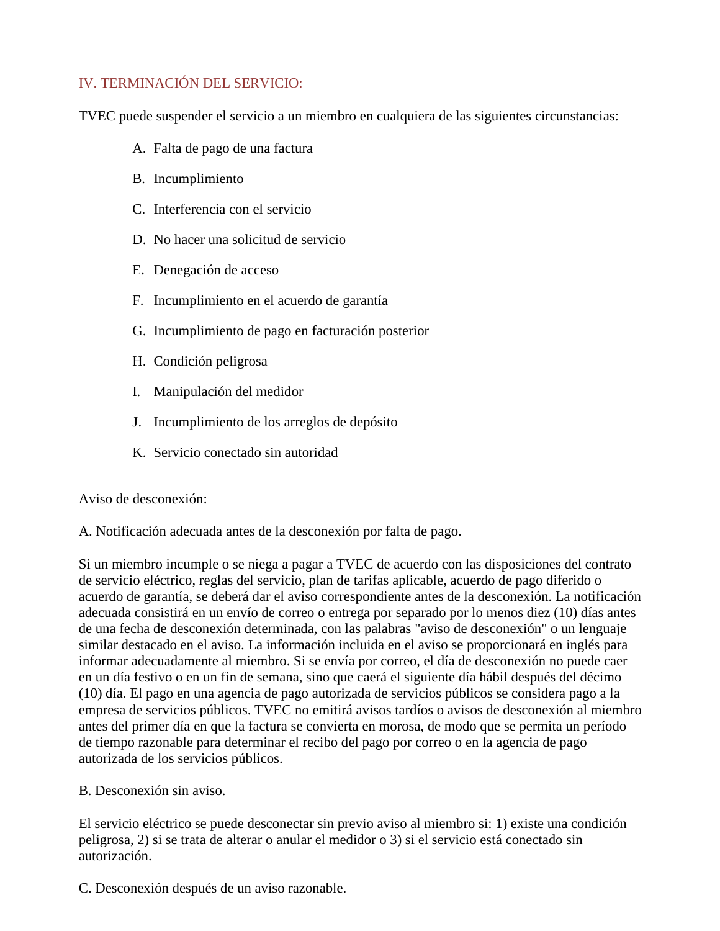# IV. TERMINACIÓN DEL SERVICIO:

TVEC puede suspender el servicio a un miembro en cualquiera de las siguientes circunstancias:

- A. Falta de pago de una factura
- B. Incumplimiento
- C. Interferencia con el servicio
- D. No hacer una solicitud de servicio
- E. Denegación de acceso
- F. Incumplimiento en el acuerdo de garantía
- G. Incumplimiento de pago en facturación posterior
- H. Condición peligrosa
- I. Manipulación del medidor
- J. Incumplimiento de los arreglos de depósito
- K. Servicio conectado sin autoridad

## Aviso de desconexión:

A. Notificación adecuada antes de la desconexión por falta de pago.

Si un miembro incumple o se niega a pagar a TVEC de acuerdo con las disposiciones del contrato de servicio eléctrico, reglas del servicio, plan de tarifas aplicable, acuerdo de pago diferido o acuerdo de garantía, se deberá dar el aviso correspondiente antes de la desconexión. La notificación adecuada consistirá en un envío de correo o entrega por separado por lo menos diez (10) días antes de una fecha de desconexión determinada, con las palabras "aviso de desconexión" o un lenguaje similar destacado en el aviso. La información incluida en el aviso se proporcionará en inglés para informar adecuadamente al miembro. Si se envía por correo, el día de desconexión no puede caer en un día festivo o en un fin de semana, sino que caerá el siguiente día hábil después del décimo (10) día. El pago en una agencia de pago autorizada de servicios públicos se considera pago a la empresa de servicios públicos. TVEC no emitirá avisos tardíos o avisos de desconexión al miembro antes del primer día en que la factura se convierta en morosa, de modo que se permita un período de tiempo razonable para determinar el recibo del pago por correo o en la agencia de pago autorizada de los servicios públicos.

B. Desconexión sin aviso.

El servicio eléctrico se puede desconectar sin previo aviso al miembro si: 1) existe una condición peligrosa, 2) si se trata de alterar o anular el medidor o 3) si el servicio está conectado sin autorización.

C. Desconexión después de un aviso razonable.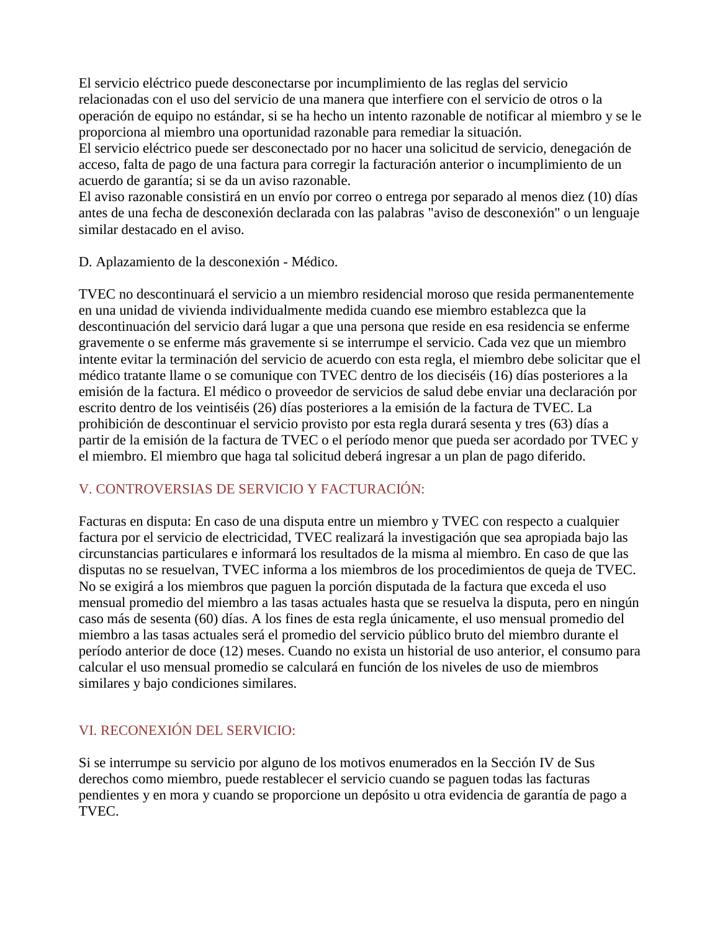El servicio eléctrico puede desconectarse por incumplimiento de las reglas del servicio relacionadas con el uso del servicio de una manera que interfiere con el servicio de otros o la operación de equipo no estándar, si se ha hecho un intento razonable de notificar al miembro y se le proporciona al miembro una oportunidad razonable para remediar la situación.

El servicio eléctrico puede ser desconectado por no hacer una solicitud de servicio, denegación de acceso, falta de pago de una factura para corregir la facturación anterior o incumplimiento de un acuerdo de garantía; si se da un aviso razonable.

El aviso razonable consistirá en un envío por correo o entrega por separado al menos diez (10) días antes de una fecha de desconexión declarada con las palabras "aviso de desconexión" o un lenguaje similar destacado en el aviso.

D. Aplazamiento de la desconexión - Médico.

TVEC no descontinuará el servicio a un miembro residencial moroso que resida permanentemente en una unidad de vivienda individualmente medida cuando ese miembro establezca que la descontinuación del servicio dará lugar a que una persona que reside en esa residencia se enferme gravemente o se enferme más gravemente si se interrumpe el servicio. Cada vez que un miembro intente evitar la terminación del servicio de acuerdo con esta regla, el miembro debe solicitar que el médico tratante llame o se comunique con TVEC dentro de los dieciséis (16) días posteriores a la emisión de la factura. El médico o proveedor de servicios de salud debe enviar una declaración por escrito dentro de los veintiséis (26) días posteriores a la emisión de la factura de TVEC. La prohibición de descontinuar el servicio provisto por esta regla durará sesenta y tres (63) días a partir de la emisión de la factura de TVEC o el período menor que pueda ser acordado por TVEC y el miembro. El miembro que haga tal solicitud deberá ingresar a un plan de pago diferido.

# V. CONTROVERSIAS DE SERVICIO Y FACTURACIÓN:

Facturas en disputa: En caso de una disputa entre un miembro y TVEC con respecto a cualquier factura por el servicio de electricidad, TVEC realizará la investigación que sea apropiada bajo las circunstancias particulares e informará los resultados de la misma al miembro. En caso de que las disputas no se resuelvan, TVEC informa a los miembros de los procedimientos de queja de TVEC. No se exigirá a los miembros que paguen la porción disputada de la factura que exceda el uso mensual promedio del miembro a las tasas actuales hasta que se resuelva la disputa, pero en ningún caso más de sesenta (60) días. A los fines de esta regla únicamente, el uso mensual promedio del miembro a las tasas actuales será el promedio del servicio público bruto del miembro durante el período anterior de doce (12) meses. Cuando no exista un historial de uso anterior, el consumo para calcular el uso mensual promedio se calculará en función de los niveles de uso de miembros similares y bajo condiciones similares.

# VI. RECONEXIÓN DEL SERVICIO:

Si se interrumpe su servicio por alguno de los motivos enumerados en la Sección IV de Sus derechos como miembro, puede restablecer el servicio cuando se paguen todas las facturas pendientes y en mora y cuando se proporcione un depósito u otra evidencia de garantía de pago a TVEC.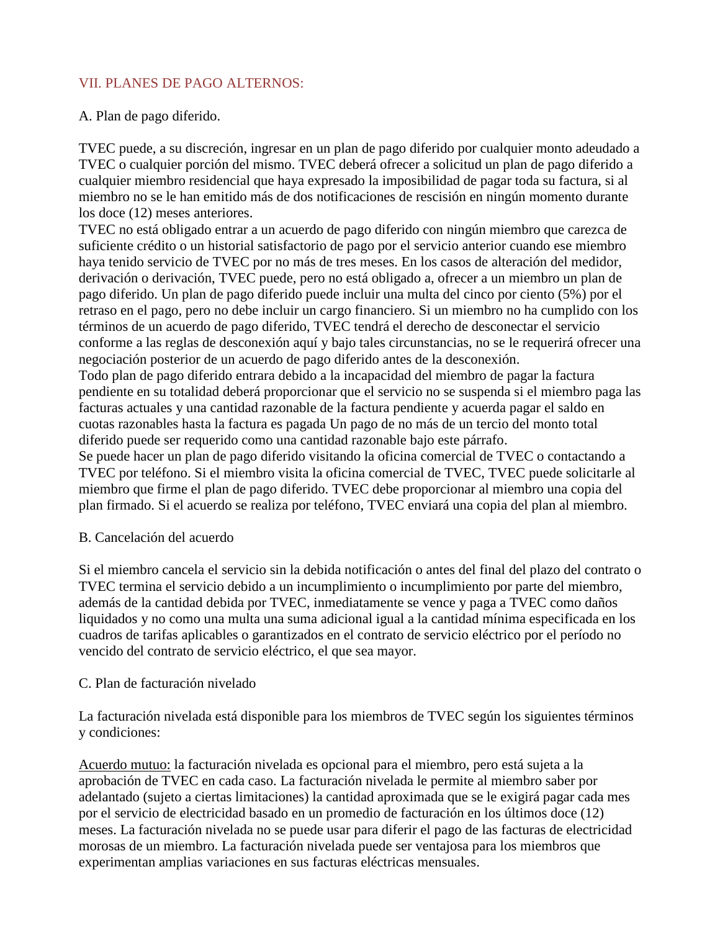# VII. PLANES DE PAGO ALTERNOS:

A. Plan de pago diferido.

TVEC puede, a su discreción, ingresar en un plan de pago diferido por cualquier monto adeudado a TVEC o cualquier porción del mismo. TVEC deberá ofrecer a solicitud un plan de pago diferido a cualquier miembro residencial que haya expresado la imposibilidad de pagar toda su factura, si al miembro no se le han emitido más de dos notificaciones de rescisión en ningún momento durante los doce (12) meses anteriores.

TVEC no está obligado entrar a un acuerdo de pago diferido con ningún miembro que carezca de suficiente crédito o un historial satisfactorio de pago por el servicio anterior cuando ese miembro haya tenido servicio de TVEC por no más de tres meses. En los casos de alteración del medidor, derivación o derivación, TVEC puede, pero no está obligado a, ofrecer a un miembro un plan de pago diferido. Un plan de pago diferido puede incluir una multa del cinco por ciento (5%) por el retraso en el pago, pero no debe incluir un cargo financiero. Si un miembro no ha cumplido con los términos de un acuerdo de pago diferido, TVEC tendrá el derecho de desconectar el servicio conforme a las reglas de desconexión aquí y bajo tales circunstancias, no se le requerirá ofrecer una negociación posterior de un acuerdo de pago diferido antes de la desconexión.

Todo plan de pago diferido entrara debido a la incapacidad del miembro de pagar la factura pendiente en su totalidad deberá proporcionar que el servicio no se suspenda si el miembro paga las facturas actuales y una cantidad razonable de la factura pendiente y acuerda pagar el saldo en cuotas razonables hasta la factura es pagada Un pago de no más de un tercio del monto total diferido puede ser requerido como una cantidad razonable bajo este párrafo.

Se puede hacer un plan de pago diferido visitando la oficina comercial de TVEC o contactando a TVEC por teléfono. Si el miembro visita la oficina comercial de TVEC, TVEC puede solicitarle al miembro que firme el plan de pago diferido. TVEC debe proporcionar al miembro una copia del plan firmado. Si el acuerdo se realiza por teléfono, TVEC enviará una copia del plan al miembro.

## B. Cancelación del acuerdo

Si el miembro cancela el servicio sin la debida notificación o antes del final del plazo del contrato o TVEC termina el servicio debido a un incumplimiento o incumplimiento por parte del miembro, además de la cantidad debida por TVEC, inmediatamente se vence y paga a TVEC como daños liquidados y no como una multa una suma adicional igual a la cantidad mínima especificada en los cuadros de tarifas aplicables o garantizados en el contrato de servicio eléctrico por el período no vencido del contrato de servicio eléctrico, el que sea mayor.

## C. Plan de facturación nivelado

La facturación nivelada está disponible para los miembros de TVEC según los siguientes términos y condiciones:

Acuerdo mutuo: la facturación nivelada es opcional para el miembro, pero está sujeta a la aprobación de TVEC en cada caso. La facturación nivelada le permite al miembro saber por adelantado (sujeto a ciertas limitaciones) la cantidad aproximada que se le exigirá pagar cada mes por el servicio de electricidad basado en un promedio de facturación en los últimos doce (12) meses. La facturación nivelada no se puede usar para diferir el pago de las facturas de electricidad morosas de un miembro. La facturación nivelada puede ser ventajosa para los miembros que experimentan amplias variaciones en sus facturas eléctricas mensuales.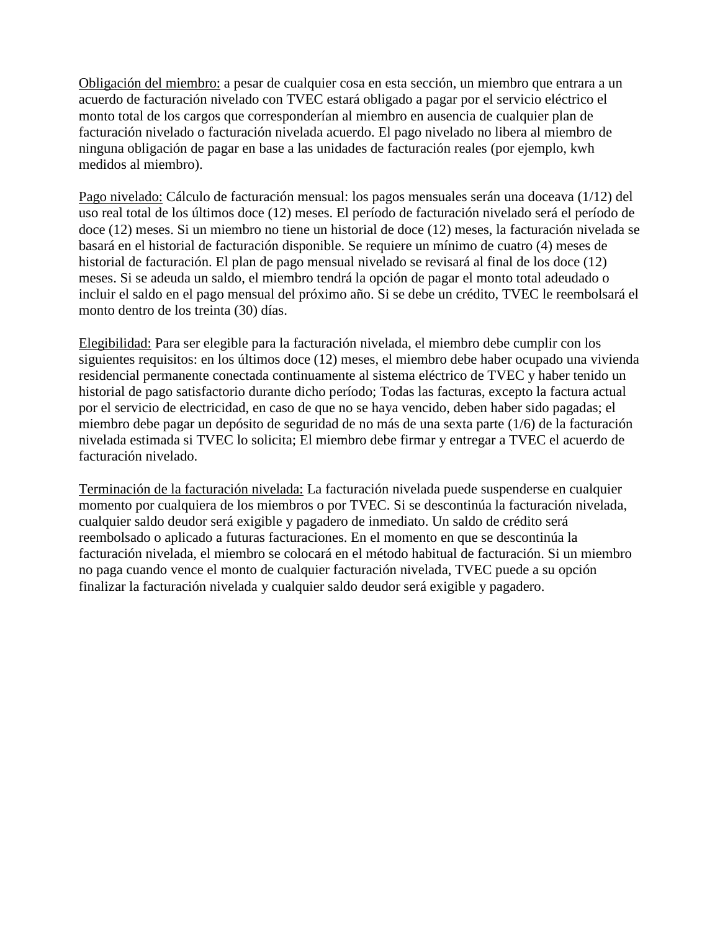Obligación del miembro: a pesar de cualquier cosa en esta sección, un miembro que entrara a un acuerdo de facturación nivelado con TVEC estará obligado a pagar por el servicio eléctrico el monto total de los cargos que corresponderían al miembro en ausencia de cualquier plan de facturación nivelado o facturación nivelada acuerdo. El pago nivelado no libera al miembro de ninguna obligación de pagar en base a las unidades de facturación reales (por ejemplo, kwh medidos al miembro).

Pago nivelado: Cálculo de facturación mensual: los pagos mensuales serán una doceava (1/12) del uso real total de los últimos doce (12) meses. El período de facturación nivelado será el período de doce (12) meses. Si un miembro no tiene un historial de doce (12) meses, la facturación nivelada se basará en el historial de facturación disponible. Se requiere un mínimo de cuatro (4) meses de historial de facturación. El plan de pago mensual nivelado se revisará al final de los doce (12) meses. Si se adeuda un saldo, el miembro tendrá la opción de pagar el monto total adeudado o incluir el saldo en el pago mensual del próximo año. Si se debe un crédito, TVEC le reembolsará el monto dentro de los treinta (30) días.

Elegibilidad: Para ser elegible para la facturación nivelada, el miembro debe cumplir con los siguientes requisitos: en los últimos doce (12) meses, el miembro debe haber ocupado una vivienda residencial permanente conectada continuamente al sistema eléctrico de TVEC y haber tenido un historial de pago satisfactorio durante dicho período; Todas las facturas, excepto la factura actual por el servicio de electricidad, en caso de que no se haya vencido, deben haber sido pagadas; el miembro debe pagar un depósito de seguridad de no más de una sexta parte (1/6) de la facturación nivelada estimada si TVEC lo solicita; El miembro debe firmar y entregar a TVEC el acuerdo de facturación nivelado.

Terminación de la facturación nivelada: La facturación nivelada puede suspenderse en cualquier momento por cualquiera de los miembros o por TVEC. Si se descontinúa la facturación nivelada, cualquier saldo deudor será exigible y pagadero de inmediato. Un saldo de crédito será reembolsado o aplicado a futuras facturaciones. En el momento en que se descontinúa la facturación nivelada, el miembro se colocará en el método habitual de facturación. Si un miembro no paga cuando vence el monto de cualquier facturación nivelada, TVEC puede a su opción finalizar la facturación nivelada y cualquier saldo deudor será exigible y pagadero.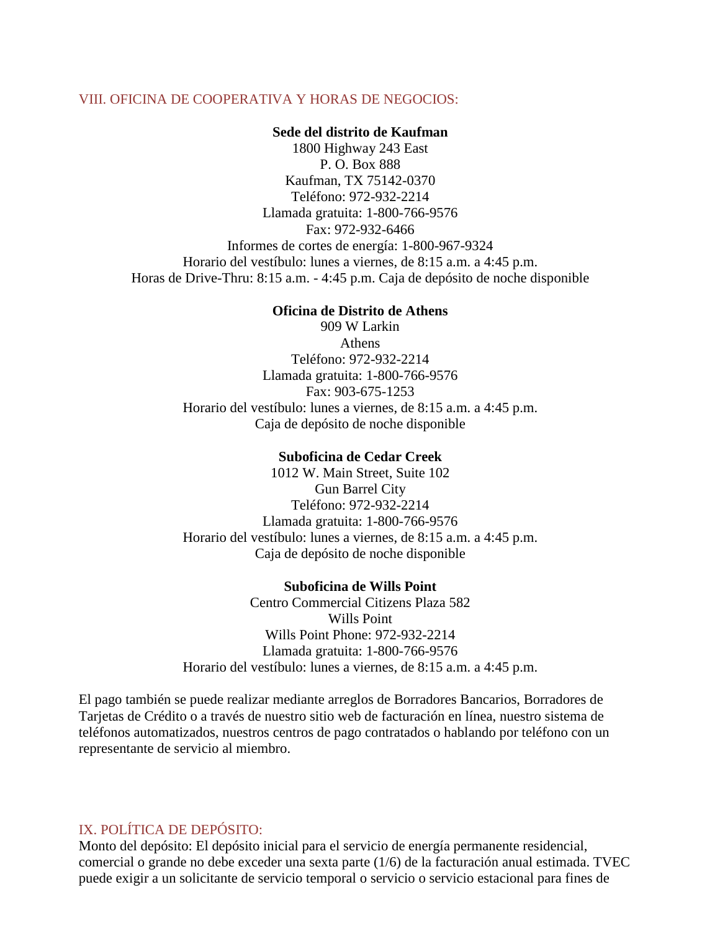### VIII. OFICINA DE COOPERATIVA Y HORAS DE NEGOCIOS:

### **Sede del distrito de Kaufman**

1800 Highway 243 East P. O. Box 888 Kaufman, TX 75142-0370 Teléfono: 972-932-2214 Llamada gratuita: 1-800-766-9576 Fax: 972-932-6466 Informes de cortes de energía: 1-800-967-9324 Horario del vestíbulo: lunes a viernes, de 8:15 a.m. a 4:45 p.m. Horas de Drive-Thru: 8:15 a.m. - 4:45 p.m. Caja de depósito de noche disponible

### **Oficina de Distrito de Athens**

909 W Larkin Athens Teléfono: 972-932-2214 Llamada gratuita: 1-800-766-9576 Fax: 903-675-1253 Horario del vestíbulo: lunes a viernes, de 8:15 a.m. a 4:45 p.m. Caja de depósito de noche disponible

### **Suboficina de Cedar Creek**

1012 W. Main Street, Suite 102 Gun Barrel City Teléfono: 972-932-2214 Llamada gratuita: 1-800-766-9576 Horario del vestíbulo: lunes a viernes, de 8:15 a.m. a 4:45 p.m. Caja de depósito de noche disponible

## **Suboficina de Wills Point**

Centro Commercial Citizens Plaza 582 Wills Point Wills Point Phone: 972-932-2214 Llamada gratuita: 1-800-766-9576 Horario del vestíbulo: lunes a viernes, de 8:15 a.m. a 4:45 p.m.

El pago también se puede realizar mediante arreglos de Borradores Bancarios, Borradores de Tarjetas de Crédito o a través de nuestro sitio web de facturación en línea, nuestro sistema de teléfonos automatizados, nuestros centros de pago contratados o hablando por teléfono con un representante de servicio al miembro.

# IX. POLÍTICA DE DEPÓSITO:

Monto del depósito: El depósito inicial para el servicio de energía permanente residencial, comercial o grande no debe exceder una sexta parte (1/6) de la facturación anual estimada. TVEC puede exigir a un solicitante de servicio temporal o servicio o servicio estacional para fines de